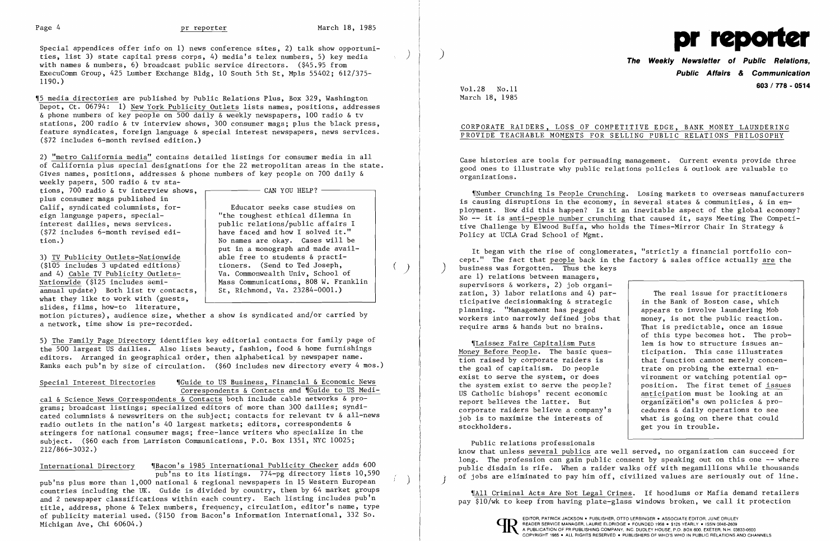$($ 



Special appendices offer info on 1) news conference sites, 2) talk show opportuni special appendices offer into on 1) news conference sites, 2) cank show opportuni-<br>ties, list 3) state capital press corps, 4) media's telex numbers, 5) key media (1) (1) (1) (1) (1) (1) (1) (1<br>with names & numbers, 6) bro ExecuComm Group, 425 Lumber Exchange Bldg, 10 South 5th St, Mpls 55402; 612/375-1190.)

'15 media directories are published by Public Relations Plus, Box 329, Washington Depot, Ct. 06794: 1) New York Publicity Outlets lists names, positions, addresses & phone numbers of key people on 500 daily & weekly newspapers, 100 radio & tv stations, 200 radio & tv interview shows, 300 consumer mags; plus the black press, feature syndicates, foreign language & special interest newspapers, news services. (\$72 includes 6-month revised edition.)

2) "metro California media" contains detailed listings for consumer media in all of California plus special designations for the 22 metropolitan areas in the state. Gives names, positions, addresses & phone numbers of key people on 700 daily &

Special Interest Directories .Guide to US Business, Financial & Economic News Correspondents & Contacts and 'IGuide to US Medical & Science News Correspondents  $\overline{\&}$  Contacts both include cable networks  $\&$  pro-

weekly papers, 500 radio & tv stations, 700 radio & tv interview shows, plus consumer mags published in Calif, syndicated columnists, foreign language papers, specialinterest dailies, news services. (\$72 includes 6-month revised edition. )

3) TV Publicity Outlets-Nationwide (\$105 includes 3 updated editions) and 4) Cable TV Publicity Outlets-Nationwide (\$125 includes semiannual update) Both list tv contacts, what they like to work with (guests, slides, films, how-to literature,

motion pictures), audience size, whether a show is syndicated and/or carried by a network, time show is pre-recorded.

Educator seeks case studies on "the toughest ethical dilemna in public relations/public affairs I have faced and how I solved it." No names are okay. Cases will be put in a monograph and made available free to students & practitioners. (Send to Ted Joseph, Va. Commonwealth Univ, School of Mass Communications, 808 W. Franklin St, Richmond, Va. 23284-0001.)

 $-$  CAN YOU HELP?  $-$ 

5) The Family Page Directory identifies key editorial contacts for family page of the 500 largest US dailies. Also lists beauty, fashion, food & home furnishings editors. Arranged in geographical order, then alphabetical by newspaper name. Ranks each pub'n by size of circulation. (\$60 includes new directory every 4 mos.)

grams; broadcast listings; specialized editors of more than 300 dailies; syndicated columnists & newswriters on the subject; contacts for relevant tv & all-news radio outlets in the nation's 40 largest markets; editors, correspondents & stringers for national consumer mags; free-lance writers who specialize in the subject. (\$60 each from Larriston Communications, P.O. Box 1351, NYC 10025; 212/866-3032.)

International Directory 'IBacon's 1985 International Publicity Checker adds 600 pub'ns to its listings. 774-pg directory lists 10,590 pub'ns plus more than 1,000 national & regional newspapers in 15 Western European countries including the UK. Guide is divided by country, then by 64 market groups and 2 newspaper classifications within each country. Each listing includes pub'n title, address, phone & Telex numbers, frequency, circulation, editor's name, type of publicity material used. (\$150 from Bacon's Information International, 332 So. Michigan Ave, Chi 60604.)

) )

## **Public Affairs & Communication 603/778 - <sup>0514</sup>** Vol. 28 No.ll

March 18, 1985

## CORPORATE RAIDERS, LOSS OF COMPETITIVE EDGE, BANK MONEY LAUNDERING PROVIDE TEACHABLE MOMENTS FOR SELLING PUBLIC RELATIONS PHILOSOPHY

Case histories are tools for persuading management. Current events provide three good ones to illustrate why public relations policies & outlook are valuable to organizations.

'[Number Crunching Is People Crunching. Losing markets to overseas manufacturers is causing disruptions in the economy, in several states & communities, & in employment. How did this happen? Is it an inevitable aspect of the global economy? No -- it is anti-people number crunching that caused it, says Meeting The Competitive Challenge by Elwood Buffa, who holds the Times-Mirror Chair In Strategy & Policy at UCLA Grad School of Mgmt.

It began with the rise of conglomerates, "strictly a financial portfolio concept." The fact that people back in the factory  $\&$  sales office actually are the business was forgotten. Thus the keys are 1) relations between managers, supervisors & workers, 2) job organization, 3) labor relations and 4) participative decisionmaking & strategic planning. "Management has pegged workers into narrowly defined jobs that require arms & hands but no brains. The real issue for practitioners in the Bank of Boston case, which appears to involve laundering Mob money, is not the public reaction. That is predictable, once an issue

.Laissez Faire Capitalism Puts Money Before People. The basic question raised by corporate raiders is the goal of capitalism. Do people exist to serve the system, or does the system exist to serve the people? US Catholic bishops' recent economic report believes the latter. But corporate raiders believe a company's job is to maximize the interests of stockholders.

of this type becomes hot. The problem is how to structure issues anticipation. This case illustrates that function cannot merely concentrate on probing the external environment or watching potential opposition. The first tenet of issues anticipation must be looking at an  $organization's$  own policies & procedures & daily operations to see what is going on there that could get you in trouble.

Public relations professionals know that unless several publics are well served, no organization can succeed for long. The profession can gain public consent by speaking out on this one  $-$ - where public disdain is rife. When a raider walks off with megamillions while thousands of jobs are eliminated to pay him off, civilized values are seriously out of line. )

'!AII Criminal Acts Are Not Legal Crimes. If hoodlums or Mafia demand retailers pay \$10/wk to keep from having plate-glass windows broken, we call it protection